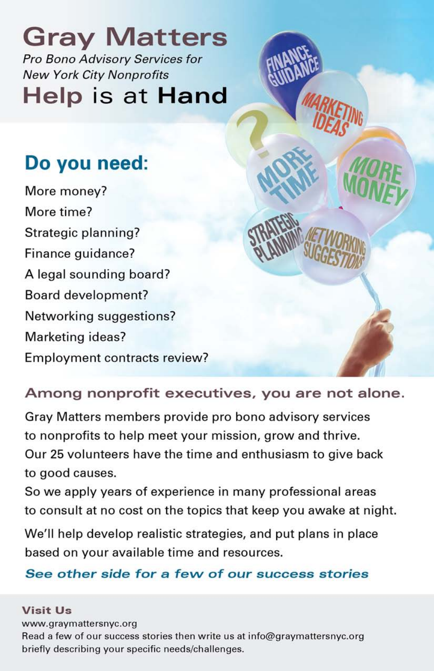**Gray Matters** Pro Bono Advisory Services for **New York City Nonprofits** Help is at Hand

## Do you need:

More money? More time? Strategic planning? Finance guidance? A legal sounding board? **Board development?** Networking suggestions? Marketing ideas? Employment contracts review?

## Among nonprofit executives, you are not alone.

Gray Matters members provide pro bono advisory services to nonprofits to help meet your mission, grow and thrive. Our 25 volunteers have the time and enthusiasm to give back to good causes.

So we apply years of experience in many professional areas to consult at no cost on the topics that keep you awake at night.

We'll help develop realistic strategies, and put plans in place based on your available time and resources.

## See other side for a few of our success stories

## **Visit Us** www.graymattersnyc.org Read a few of our success stories then write us at info@graymattersnyc.org briefly describing your specific needs/challenges.